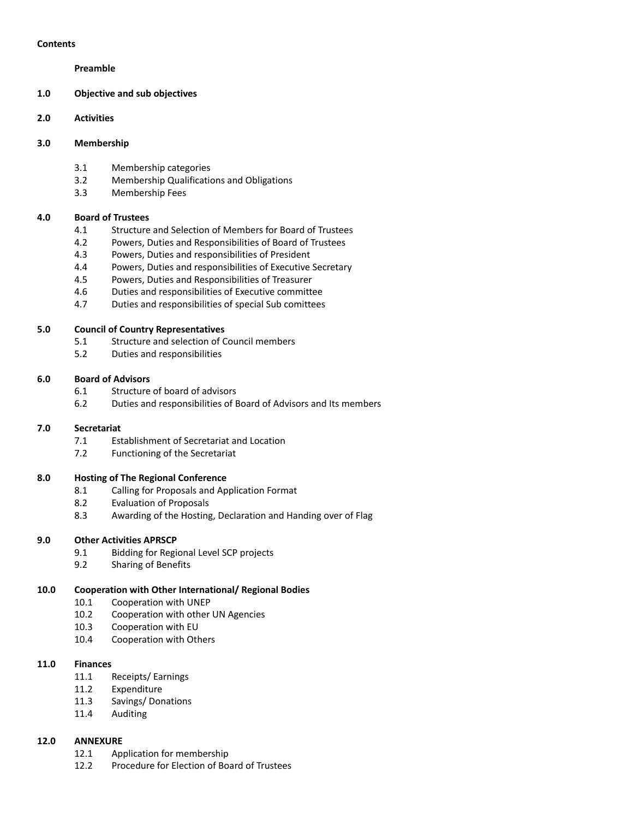#### **Contents**

#### **Preamble**

- **1.0 Objective and sub objectives**
- **2.0 Activities**

#### **3.0 Membership**

- 3.1 Membership categories
- 3.2 Membership Qualifications and Obligations
- 3.3 Membership Fees

#### **4.0 Board of Trustees**

- 4.1 Structure and Selection of Members for Board of Trustees
- 4.2 Powers, Duties and Responsibilities of Board of Trustees
- 4.3 Powers, Duties and responsibilities of President
- 4.4 Powers, Duties and responsibilities of Executive Secretary
- 4.5 Powers, Duties and Responsibilities of Treasurer
- 4.6 Duties and responsibilities of Executive committee
- 4.7 Duties and responsibilities of special Sub comittees

#### **5.0 Council of Country Representatives**

- 5.1 Structure and selection of Council members
- 5.2 Duties and responsibilities

#### **6.0 Board of Advisors**

- 6.1 Structure of board of advisors
- 6.2 Duties and responsibilities of Board of Advisors and Its members

#### **7.0 Secretariat**

- 7.1 Establishment of Secretariat and Location
- 7.2 Functioning of the Secretariat

#### **8.0 Hosting of The Regional Conference**

- 8.1 Calling for Proposals and Application Format
- 8.2 Evaluation of Proposals
- 8.3 Awarding of the Hosting, Declaration and Handing over of Flag

#### **9.0 Other Activities APRSCP**

- 9.1 Bidding for Regional Level SCP projects
- 9.2 Sharing of Benefits

#### **10.0 Cooperation with Other International/ Regional Bodies**

- 10.1 Cooperation with UNEP
- 10.2 Cooperation with other UN Agencies
- 10.3 Cooperation with EU
- 10.4 Cooperation with Others

#### **11.0 Finances**

- 11.1 Receipts/ Earnings
- 11.2 Expenditure
- 11.3 Savings/ Donations
- 11.4 Auditing

#### **12.0 ANNEXURE**

- 12.1 Application for membership
- 12.2 Procedure for Election of Board of Trustees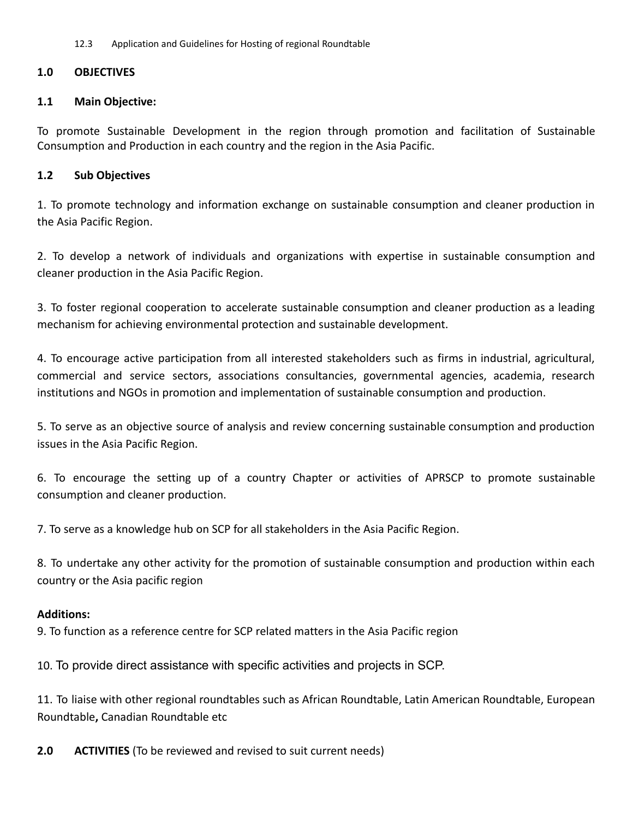12.3 Application and Guidelines for Hosting of regional Roundtable

### **1.0 OBJECTIVES**

#### **1.1 Main Objective:**

To promote Sustainable Development in the region through promotion and facilitation of Sustainable Consumption and Production in each country and the region in the Asia Pacific.

#### **1.2 Sub Objectives**

1. To promote technology and information exchange on sustainable consumption and cleaner production in the Asia Pacific Region.

2. To develop a network of individuals and organizations with expertise in sustainable consumption and cleaner production in the Asia Pacific Region.

3. To foster regional cooperation to accelerate sustainable consumption and cleaner production as a leading mechanism for achieving environmental protection and sustainable development.

4. To encourage active participation from all interested stakeholders such as firms in industrial, agricultural, commercial and service sectors, associations consultancies, governmental agencies, academia, research institutions and NGOs in promotion and implementation of sustainable consumption and production.

5. To serve as an objective source of analysis and review concerning sustainable consumption and production issues in the Asia Pacific Region.

6. To encourage the setting up of a country Chapter or activities of APRSCP to promote sustainable consumption and cleaner production.

7. To serve as a knowledge hub on SCP for all stakeholders in the Asia Pacific Region.

8. To undertake any other activity for the promotion of sustainable consumption and production within each country or the Asia pacific region

### **Additions:**

9. To function as a reference centre for SCP related matters in the Asia Pacific region

10. To provide direct assistance with specific activities and projects in SCP.

11. To liaise with other regional roundtables such as African Roundtable, Latin American Roundtable, European Roundtable**,** Canadian Roundtable etc

**2.0 ACTIVITIES** (To be reviewed and revised to suit current needs)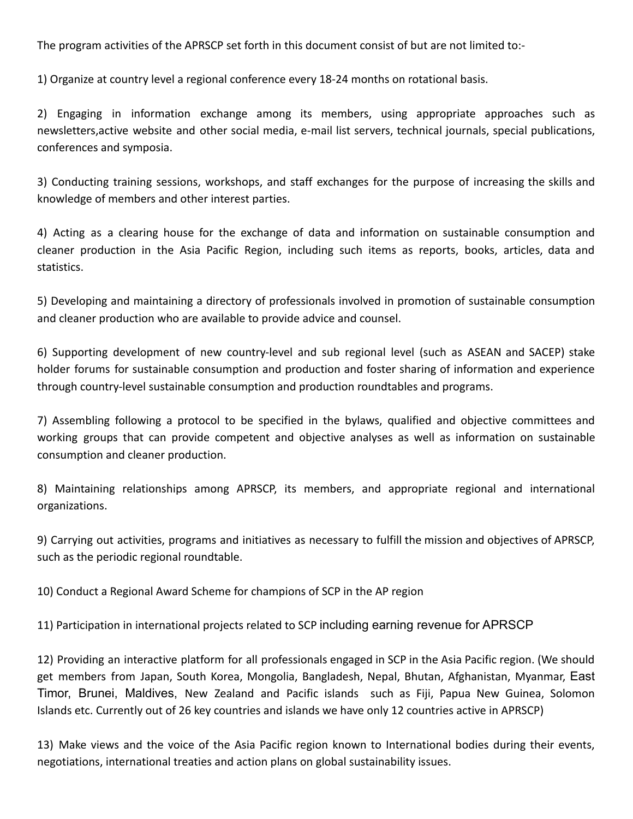The program activities of the APRSCP set forth in this document consist of but are not limited to:-

1) Organize at country level a regional conference every 18-24 months on rotational basis.

2) Engaging in information exchange among its members, using appropriate approaches such as newsletters,active website and other social media, e-mail list servers, technical journals, special publications, conferences and symposia.

3) Conducting training sessions, workshops, and staff exchanges for the purpose of increasing the skills and knowledge of members and other interest parties.

4) Acting as a clearing house for the exchange of data and information on sustainable consumption and cleaner production in the Asia Pacific Region, including such items as reports, books, articles, data and statistics.

5) Developing and maintaining a directory of professionals involved in promotion of sustainable consumption and cleaner production who are available to provide advice and counsel.

6) Supporting development of new country-level and sub regional level (such as ASEAN and SACEP) stake holder forums for sustainable consumption and production and foster sharing of information and experience through country-level sustainable consumption and production roundtables and programs.

7) Assembling following a protocol to be specified in the bylaws, qualified and objective committees and working groups that can provide competent and objective analyses as well as information on sustainable consumption and cleaner production.

8) Maintaining relationships among APRSCP, its members, and appropriate regional and international organizations.

9) Carrying out activities, programs and initiatives as necessary to fulfill the mission and objectives of APRSCP, such as the periodic regional roundtable.

10) Conduct a Regional Award Scheme for champions of SCP in the AP region

11) Participation in international projects related to SCP including earning revenue for APRSCP

12) Providing an interactive platform for all professionals engaged in SCP in the Asia Pacific region. (We should get members from Japan, South Korea, Mongolia, Bangladesh, Nepal, Bhutan, Afghanistan, Myanmar, East Timor, Brunei, Maldives, New Zealand and Pacific islands such as Fiji, Papua New Guinea, Solomon Islands etc. Currently out of 26 key countries and islands we have only 12 countries active in APRSCP)

13) Make views and the voice of the Asia Pacific region known to International bodies during their events, negotiations, international treaties and action plans on global sustainability issues.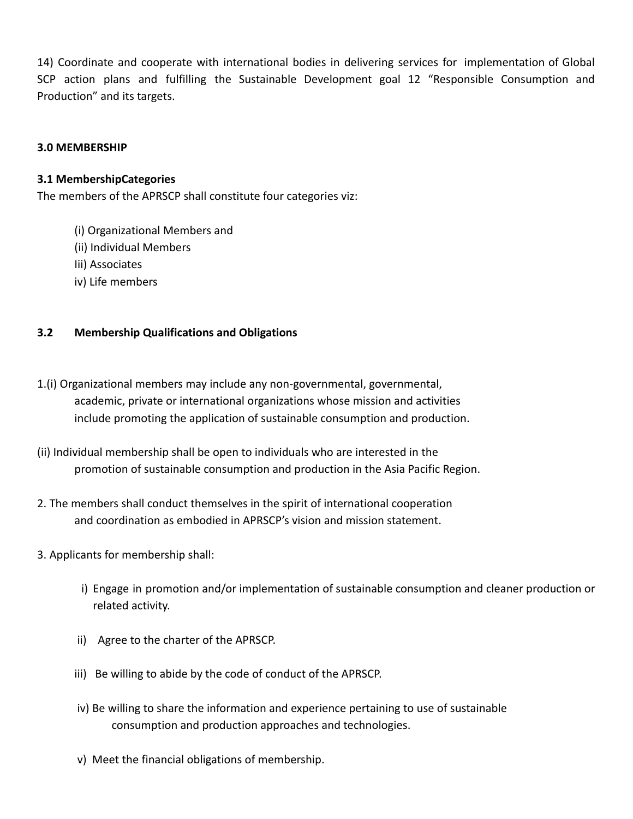14) Coordinate and cooperate with international bodies in delivering services for implementation of Global SCP action plans and fulfilling the Sustainable Development goal 12 "Responsible Consumption and Production" and its targets.

### **3.0 MEMBERSHIP**

### **3.1 MembershipCategories**

The members of the APRSCP shall constitute four categories viz:

- (i) Organizational Members and
- (ii) Individual Members
- Iii) Associates
- iv) Life members

## **3.2 Membership Qualifications and Obligations**

- 1.(i) Organizational members may include any non-governmental, governmental, academic, private or international organizations whose mission and activities include promoting the application of sustainable consumption and production.
- (ii) Individual membership shall be open to individuals who are interested in the promotion of sustainable consumption and production in the Asia Pacific Region.
- 2. The members shall conduct themselves in the spirit of international cooperation and coordination as embodied in APRSCP's vision and mission statement.
- 3. Applicants for membership shall:
	- i) Engage in promotion and/or implementation of sustainable consumption and cleaner production or related activity.
	- ii) Agree to the charter of the APRSCP.
	- iii) Be willing to abide by the code of conduct of the APRSCP.
	- iv) Be willing to share the information and experience pertaining to use of sustainable consumption and production approaches and technologies.
	- v) Meet the financial obligations of membership.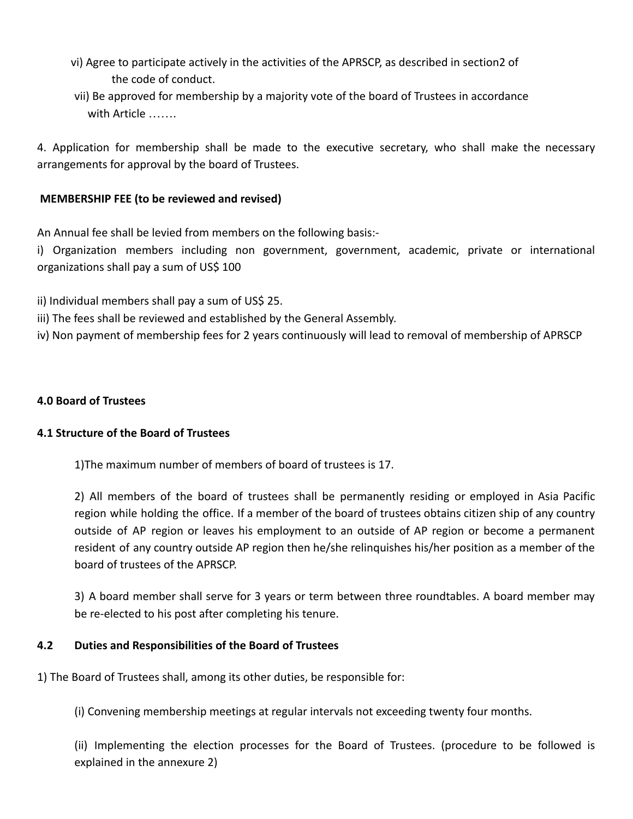- vi) Agree to participate actively in the activities of the APRSCP, as described in section2 of the code of conduct.
- vii) Be approved for membership by a majority vote of the board of Trustees in accordance with Article …….

4. Application for membership shall be made to the executive secretary, who shall make the necessary arrangements for approval by the board of Trustees.

## **MEMBERSHIP FEE (to be reviewed and revised)**

An Annual fee shall be levied from members on the following basis:-

i) Organization members including non government, government, academic, private or international organizations shall pay a sum of US\$ 100

- ii) Individual members shall pay a sum of US\$ 25.
- iii) The fees shall be reviewed and established by the General Assembly.
- iv) Non payment of membership fees for 2 years continuously will lead to removal of membership of APRSCP

## **4.0 Board of Trustees**

## **4.1 Structure of the Board of Trustees**

1)The maximum number of members of board of trustees is 17.

2) All members of the board of trustees shall be permanently residing or employed in Asia Pacific region while holding the office. If a member of the board of trustees obtains citizen ship of any country outside of AP region or leaves his employment to an outside of AP region or become a permanent resident of any country outside AP region then he/she relinquishes his/her position as a member of the board of trustees of the APRSCP.

3) A board member shall serve for 3 years or term between three roundtables. A board member may be re-elected to his post after completing his tenure.

## **4.2 Duties and Responsibilities of the Board of Trustees**

1) The Board of Trustees shall, among its other duties, be responsible for:

(i) Convening membership meetings at regular intervals not exceeding twenty four months.

(ii) Implementing the election processes for the Board of Trustees. (procedure to be followed is explained in the annexure 2)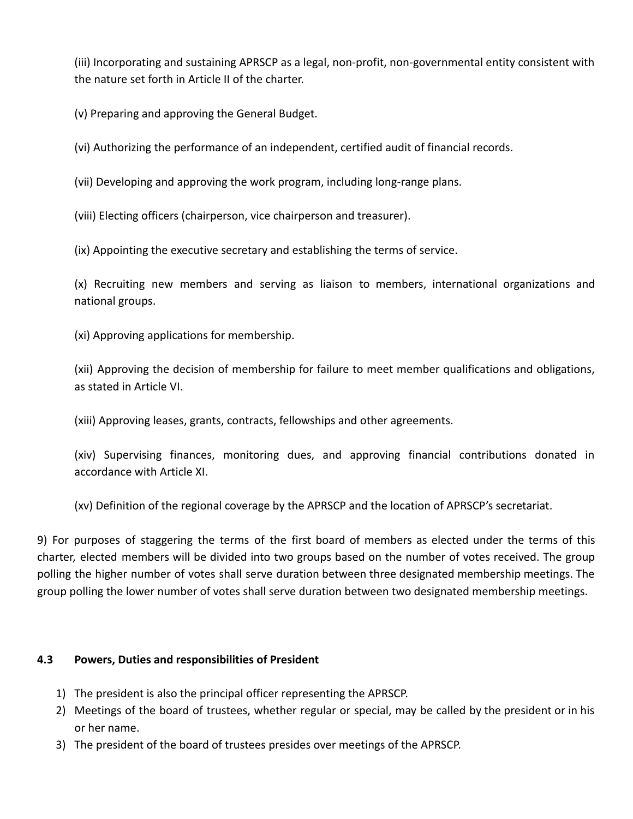(iii) Incorporating and sustaining APRSCP as a legal, non-profit, non-governmental entity consistent with the nature set forth in Article II of the charter.

(v) Preparing and approving the General Budget.

(vi) Authorizing the performance of an independent, certified audit of financial records.

(vii) Developing and approving the work program, including long-range plans.

(viii) Electing officers (chairperson, vice chairperson and treasurer).

(ix) Appointing the executive secretary and establishing the terms of service.

(x) Recruiting new members and serving as liaison to members, international organizations and national groups.

(xi) Approving applications for membership.

(xii) Approving the decision of membership for failure to meet member qualifications and obligations, as stated in Article VI.

(xiii) Approving leases, grants, contracts, fellowships and other agreements.

(xiv) Supervising finances, monitoring dues, and approving financial contributions donated in accordance with Article XI.

(xv) Definition of the regional coverage by the APRSCP and the location of APRSCP's secretariat.

9) For purposes of staggering the terms of the first board of members as elected under the terms of this charter, elected members will be divided into two groups based on the number of votes received. The group polling the higher number of votes shall serve duration between three designated membership meetings. The group polling the lower number of votes shall serve duration between two designated membership meetings.

## **4.3 Powers, Duties and responsibilities of President**

- 1) The president is also the principal officer representing the APRSCP.
- 2) Meetings of the board of trustees, whether regular or special, may be called by the president or in his or her name.
- 3) The president of the board of trustees presides over meetings of the APRSCP.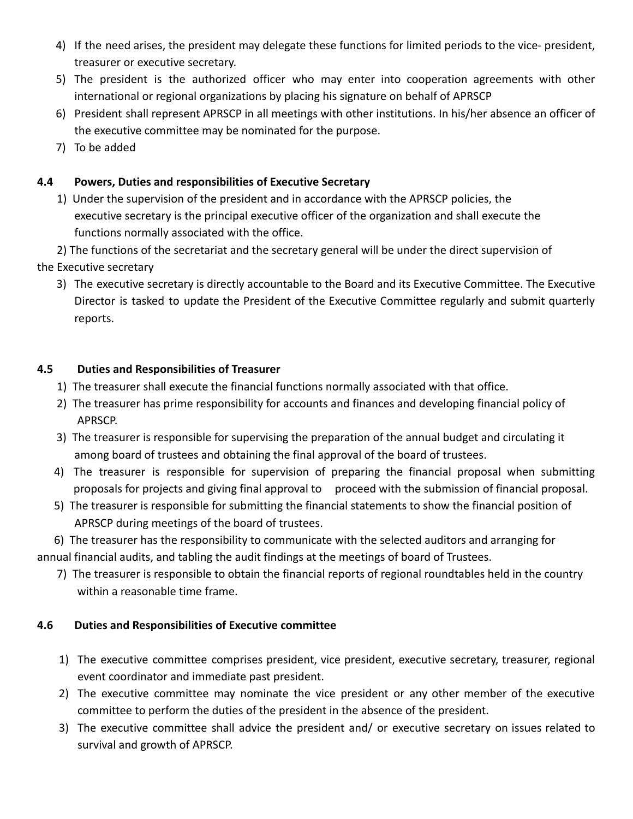- 4) If the need arises, the president may delegate these functions for limited periods to the vice- president, treasurer or executive secretary.
- 5) The president is the authorized officer who may enter into cooperation agreements with other international or regional organizations by placing his signature on behalf of APRSCP
- 6) President shall represent APRSCP in all meetings with other institutions. In his/her absence an officer of the executive committee may be nominated for the purpose.
- 7) To be added

# **4.4 Powers, Duties and responsibilities of Executive Secretary**

1) Under the supervision of the president and in accordance with the APRSCP policies, the executive secretary is the principal executive officer of the organization and shall execute the functions normally associated with the office.

2) The functions of the secretariat and the secretary general will be under the direct supervision of the Executive secretary

3) The executive secretary is directly accountable to the Board and its Executive Committee. The Executive Director is tasked to update the President of the Executive Committee regularly and submit quarterly reports.

# **4.5 Duties and Responsibilities of Treasurer**

- 1) The treasurer shall execute the financial functions normally associated with that office.
- 2) The treasurer has prime responsibility for accounts and finances and developing financial policy of APRSCP.
- 3) The treasurer is responsible for supervising the preparation of the annual budget and circulating it among board of trustees and obtaining the final approval of the board of trustees.
- 4) The treasurer is responsible for supervision of preparing the financial proposal when submitting proposals for projects and giving final approval to proceed with the submission of financial proposal.
- 5) The treasurer is responsible for submitting the financial statements to show the financial position of APRSCP during meetings of the board of trustees.

6) The treasurer has the responsibility to communicate with the selected auditors and arranging for annual financial audits, and tabling the audit findings at the meetings of board of Trustees.

7) The treasurer is responsible to obtain the financial reports of regional roundtables held in the country within a reasonable time frame.

# **4.6 Duties and Responsibilities of Executive committee**

- 1) The executive committee comprises president, vice president, executive secretary, treasurer, regional event coordinator and immediate past president.
- 2) The executive committee may nominate the vice president or any other member of the executive committee to perform the duties of the president in the absence of the president.
- 3) The executive committee shall advice the president and/ or executive secretary on issues related to survival and growth of APRSCP.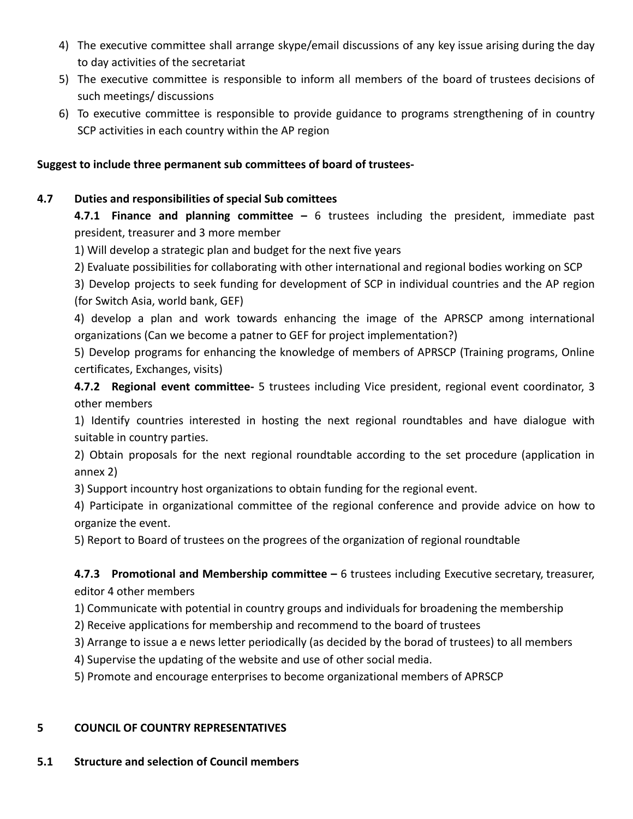- 4) The executive committee shall arrange skype/email discussions of any key issue arising during the day to day activities of the secretariat
- 5) The executive committee is responsible to inform all members of the board of trustees decisions of such meetings/ discussions
- 6) To executive committee is responsible to provide guidance to programs strengthening of in country SCP activities in each country within the AP region

## **Suggest to include three permanent sub committees of board of trustees-**

## **4.7 Duties and responsibilities of special Sub comittees**

**4.7.1 Finance and planning committee –** 6 trustees including the president, immediate past president, treasurer and 3 more member

1) Will develop a strategic plan and budget for the next five years

2) Evaluate possibilities for collaborating with other international and regional bodies working on SCP

3) Develop projects to seek funding for development of SCP in individual countries and the AP region (for Switch Asia, world bank, GEF)

4) develop a plan and work towards enhancing the image of the APRSCP among international organizations (Can we become a patner to GEF for project implementation?)

5) Develop programs for enhancing the knowledge of members of APRSCP (Training programs, Online certificates, Exchanges, visits)

**4.7.2 Regional event committee-** 5 trustees including Vice president, regional event coordinator, 3 other members

1) Identify countries interested in hosting the next regional roundtables and have dialogue with suitable in country parties.

2) Obtain proposals for the next regional roundtable according to the set procedure (application in annex 2)

3) Support incountry host organizations to obtain funding for the regional event.

4) Participate in organizational committee of the regional conference and provide advice on how to organize the event.

5) Report to Board of trustees on the progrees of the organization of regional roundtable

**4.7.3 Promotional and Membership committee –** 6 trustees including Executive secretary, treasurer, editor 4 other members

1) Communicate with potential in country groups and individuals for broadening the membership

2) Receive applications for membership and recommend to the board of trustees

3) Arrange to issue a e news letter periodically (as decided by the borad of trustees) to all members

4) Supervise the updating of the website and use of other social media.

5) Promote and encourage enterprises to become organizational members of APRSCP

## **5 COUNCIL OF COUNTRY REPRESENTATIVES**

# **5.1 Structure and selection of Council members**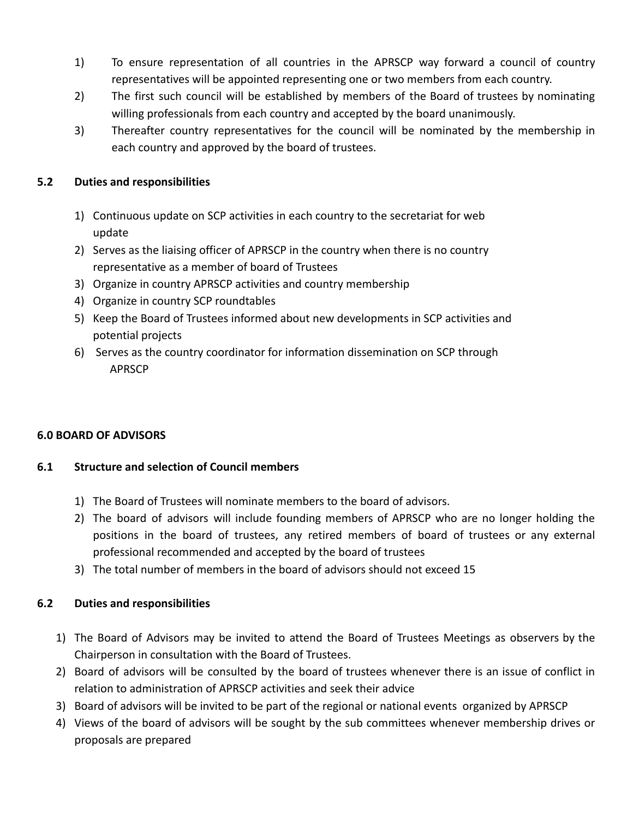- 1) To ensure representation of all countries in the APRSCP way forward a council of country representatives will be appointed representing one or two members from each country.
- 2) The first such council will be established by members of the Board of trustees by nominating willing professionals from each country and accepted by the board unanimously.
- 3) Thereafter country representatives for the council will be nominated by the membership in each country and approved by the board of trustees.

## **5.2 Duties and responsibilities**

- 1) Continuous update on SCP activities in each country to the secretariat for web update
- 2) Serves as the liaising officer of APRSCP in the country when there is no country representative as a member of board of Trustees
- 3) Organize in country APRSCP activities and country membership
- 4) Organize in country SCP roundtables
- 5) Keep the Board of Trustees informed about new developments in SCP activities and potential projects
- 6) Serves as the country coordinator for information dissemination on SCP through APRSCP

## **6.0 BOARD OF ADVISORS**

## **6.1 Structure and selection of Council members**

- 1) The Board of Trustees will nominate members to the board of advisors.
- 2) The board of advisors will include founding members of APRSCP who are no longer holding the positions in the board of trustees, any retired members of board of trustees or any external professional recommended and accepted by the board of trustees
- 3) The total number of members in the board of advisors should not exceed 15

# **6.2 Duties and responsibilities**

- 1) The Board of Advisors may be invited to attend the Board of Trustees Meetings as observers by the Chairperson in consultation with the Board of Trustees.
- 2) Board of advisors will be consulted by the board of trustees whenever there is an issue of conflict in relation to administration of APRSCP activities and seek their advice
- 3) Board of advisors will be invited to be part of the regional or national events organized by APRSCP
- 4) Views of the board of advisors will be sought by the sub committees whenever membership drives or proposals are prepared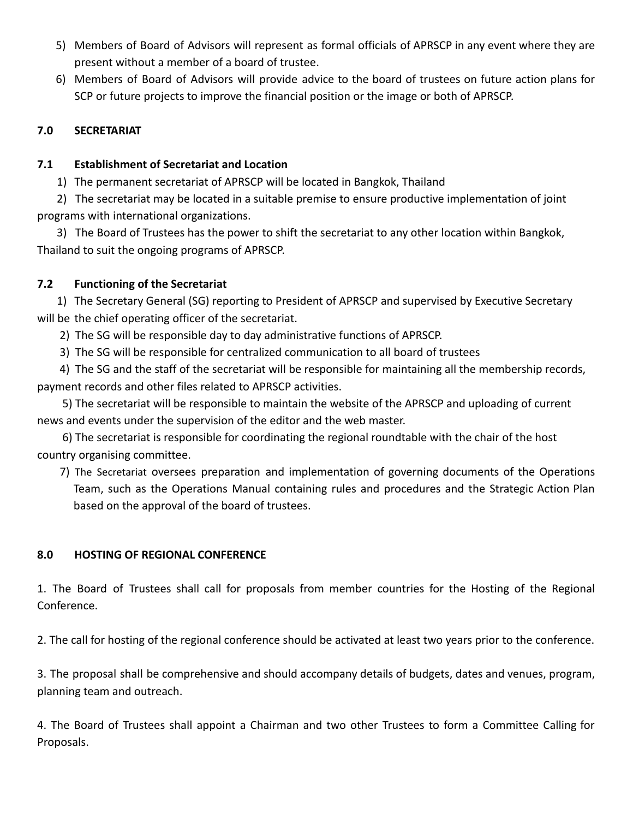- 5) Members of Board of Advisors will represent as formal officials of APRSCP in any event where they are present without a member of a board of trustee.
- 6) Members of Board of Advisors will provide advice to the board of trustees on future action plans for SCP or future projects to improve the financial position or the image or both of APRSCP.

## **7.0 SECRETARIAT**

## **7.1 Establishment of Secretariat and Location**

1) The permanent secretariat of APRSCP will be located in Bangkok, Thailand

2) The secretariat may be located in a suitable premise to ensure productive implementation of joint programs with international organizations.

3) The Board of Trustees has the power to shift the secretariat to any other location within Bangkok, Thailand to suit the ongoing programs of APRSCP.

# **7.2 Functioning of the Secretariat**

1) The Secretary General (SG) reporting to President of APRSCP and supervised by Executive Secretary will be the chief operating officer of the secretariat.

2) The SG will be responsible day to day administrative functions of APRSCP.

3) The SG will be responsible for centralized communication to all board of trustees

4) The SG and the staff of the secretariat will be responsible for maintaining all the membership records, payment records and other files related to APRSCP activities.

5) The secretariat will be responsible to maintain the website of the APRSCP and uploading of current news and events under the supervision of the editor and the web master.

6) The secretariat is responsible for coordinating the regional roundtable with the chair of the host country organising committee.

7) The Secretariat oversees preparation and implementation of governing documents of the Operations Team, such as the Operations Manual containing rules and procedures and the Strategic Action Plan based on the approval of the board of trustees.

# **8.0 HOSTING OF REGIONAL CONFERENCE**

1. The Board of Trustees shall call for proposals from member countries for the Hosting of the Regional Conference.

2. The call for hosting of the regional conference should be activated at least two years prior to the conference.

3. The proposal shall be comprehensive and should accompany details of budgets, dates and venues, program, planning team and outreach.

4. The Board of Trustees shall appoint a Chairman and two other Trustees to form a Committee Calling for Proposals.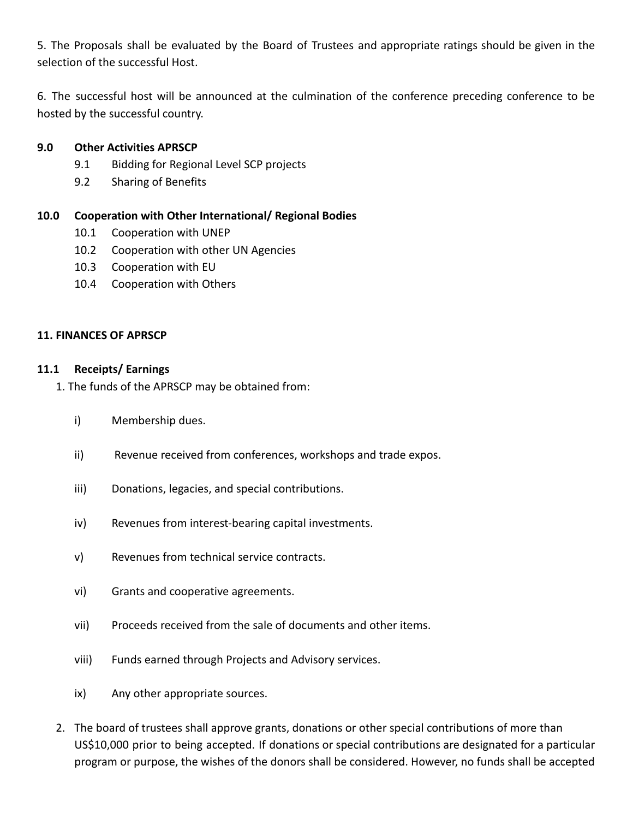5. The Proposals shall be evaluated by the Board of Trustees and appropriate ratings should be given in the selection of the successful Host.

6. The successful host will be announced at the culmination of the conference preceding conference to be hosted by the successful country.

### **9.0 Other Activities APRSCP**

- 9.1 Bidding for Regional Level SCP projects
- 9.2 Sharing of Benefits

### **10.0 Cooperation with Other International/ Regional Bodies**

- 10.1 Cooperation with UNEP
- 10.2 Cooperation with other UN Agencies
- 10.3 Cooperation with EU
- 10.4 Cooperation with Others

### **11. FINANCES OF APRSCP**

### **11.1 Receipts/ Earnings**

1. The funds of the APRSCP may be obtained from:

- i) Membership dues.
- ii) Revenue received from conferences, workshops and trade expos.
- iii) Donations, legacies, and special contributions.
- iv) Revenues from interest-bearing capital investments.
- v) Revenues from technical service contracts.
- vi) Grants and cooperative agreements.
- vii) Proceeds received from the sale of documents and other items.
- viii) Funds earned through Projects and Advisory services.
- ix) Any other appropriate sources.
- 2. The board of trustees shall approve grants, donations or other special contributions of more than US\$10,000 prior to being accepted. If donations or special contributions are designated for a particular program or purpose, the wishes of the donors shall be considered. However, no funds shall be accepted